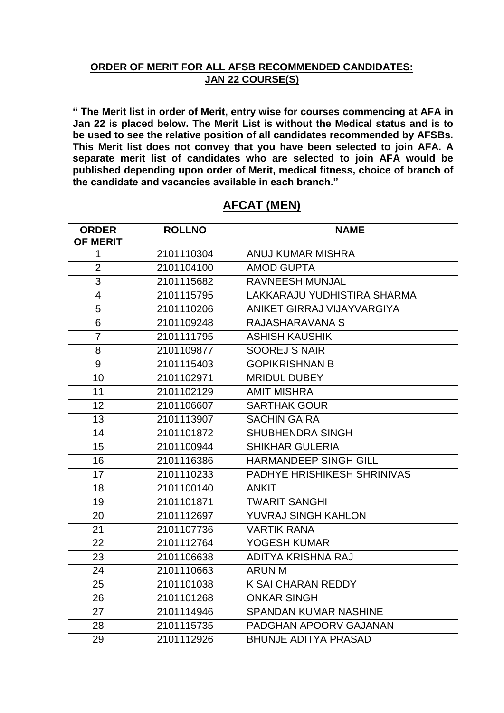## **ORDER OF MERIT FOR ALL AFSB RECOMMENDED CANDIDATES: JAN 22 COURSE(S)**

**" The Merit list in order of Merit, entry wise for courses commencing at AFA in Jan 22 is placed below. The Merit List is without the Medical status and is to be used to see the relative position of all candidates recommended by AFSBs. This Merit list does not convey that you have been selected to join AFA. A separate merit list of candidates who are selected to join AFA would be published depending upon order of Merit, medical fitness, choice of branch of the candidate and vacancies available in each branch."**

## **AFCAT (MEN)**

| <b>ORDER</b><br><b>OF MERIT</b> | <b>ROLLNO</b> | <b>NAME</b>                  |
|---------------------------------|---------------|------------------------------|
| 1                               | 2101110304    | ANUJ KUMAR MISHRA            |
| $\overline{2}$                  | 2101104100    | <b>AMOD GUPTA</b>            |
| $\overline{3}$                  | 2101115682    | <b>RAVNEESH MUNJAL</b>       |
| $\overline{4}$                  | 2101115795    | LAKKARAJU YUDHISTIRA SHARMA  |
| $\overline{5}$                  | 2101110206    | ANIKET GIRRAJ VIJAYVARGIYA   |
| 6                               | 2101109248    | RAJASHARAVANA S              |
| $\overline{7}$                  | 2101111795    | <b>ASHISH KAUSHIK</b>        |
| 8                               | 2101109877    | <b>SOOREJ S NAIR</b>         |
| 9                               | 2101115403    | <b>GOPIKRISHNAN B</b>        |
| 10                              | 2101102971    | <b>MRIDUL DUBEY</b>          |
| 11                              | 2101102129    | <b>AMIT MISHRA</b>           |
| 12                              | 2101106607    | <b>SARTHAK GOUR</b>          |
| 13                              | 2101113907    | <b>SACHIN GAIRA</b>          |
| 14                              | 2101101872    | SHUBHENDRA SINGH             |
| 15                              | 2101100944    | <b>SHIKHAR GULERIA</b>       |
| 16                              | 2101116386    | <b>HARMANDEEP SINGH GILL</b> |
| 17                              | 2101110233    | PADHYE HRISHIKESH SHRINIVAS  |
| 18                              | 2101100140    | <b>ANKIT</b>                 |
| 19                              | 2101101871    | <b>TWARIT SANGHI</b>         |
| 20                              | 2101112697    | YUVRAJ SINGH KAHLON          |
| 21                              | 2101107736    | <b>VARTIK RANA</b>           |
| $\overline{22}$                 | 2101112764    | YOGESH KUMAR                 |
| 23                              | 2101106638    | ADITYA KRISHNA RAJ           |
| 24                              | 2101110663    | <b>ARUN M</b>                |
| 25                              | 2101101038    | K SAI CHARAN REDDY           |
| 26                              | 2101101268    | <b>ONKAR SINGH</b>           |
| 27                              | 2101114946    | <b>SPANDAN KUMAR NASHINE</b> |
| 28                              | 2101115735    | PADGHAN APOORV GAJANAN       |
| 29                              | 2101112926    | <b>BHUNJE ADITYA PRASAD</b>  |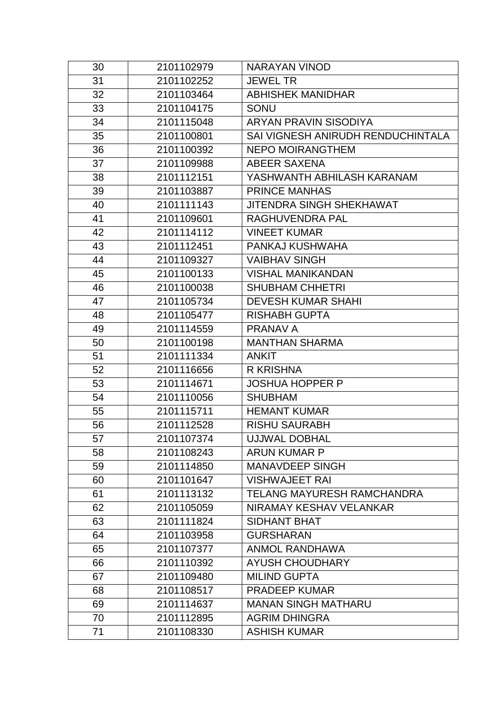| 30 | 2101102979 | <b>NARAYAN VINOD</b>              |
|----|------------|-----------------------------------|
| 31 | 2101102252 | <b>JEWEL TR</b>                   |
| 32 | 2101103464 | <b>ABHISHEK MANIDHAR</b>          |
| 33 | 2101104175 | <b>SONU</b>                       |
| 34 | 2101115048 | <b>ARYAN PRAVIN SISODIYA</b>      |
| 35 | 2101100801 | SAI VIGNESH ANIRUDH RENDUCHINTALA |
| 36 | 2101100392 | <b>NEPO MOIRANGTHEM</b>           |
| 37 | 2101109988 | <b>ABEER SAXENA</b>               |
| 38 | 2101112151 | YASHWANTH ABHILASH KARANAM        |
| 39 | 2101103887 | <b>PRINCE MANHAS</b>              |
| 40 | 2101111143 | <b>JITENDRA SINGH SHEKHAWAT</b>   |
| 41 | 2101109601 | RAGHUVENDRA PAL                   |
| 42 | 2101114112 | <b>VINEET KUMAR</b>               |
| 43 | 2101112451 | PANKAJ KUSHWAHA                   |
| 44 | 2101109327 | <b>VAIBHAV SINGH</b>              |
| 45 | 2101100133 | <b>VISHAL MANIKANDAN</b>          |
| 46 | 2101100038 | <b>SHUBHAM CHHETRI</b>            |
| 47 | 2101105734 | <b>DEVESH KUMAR SHAHI</b>         |
| 48 | 2101105477 | <b>RISHABH GUPTA</b>              |
| 49 | 2101114559 | <b>PRANAV A</b>                   |
| 50 | 2101100198 | <b>MANTHAN SHARMA</b>             |
| 51 | 2101111334 | <b>ANKIT</b>                      |
| 52 | 2101116656 | R KRISHNA                         |
| 53 | 2101114671 | <b>JOSHUA HOPPER P</b>            |
| 54 | 2101110056 | <b>SHUBHAM</b>                    |
| 55 | 2101115711 | <b>HEMANT KUMAR</b>               |
| 56 | 2101112528 | <b>RISHU SAURABH</b>              |
| 57 | 2101107374 | <b>UJJWAL DOBHAL</b>              |
| 58 | 2101108243 | <b>ARUN KUMAR P</b>               |
| 59 | 2101114850 | <b>MANAVDEEP SINGH</b>            |
| 60 | 2101101647 | <b>VISHWAJEET RAI</b>             |
| 61 | 2101113132 | TELANG MAYURESH RAMCHANDRA        |
| 62 | 2101105059 | NIRAMAY KESHAV VELANKAR           |
| 63 | 2101111824 | <b>SIDHANT BHAT</b>               |
| 64 | 2101103958 | <b>GURSHARAN</b>                  |
| 65 | 2101107377 | <b>ANMOL RANDHAWA</b>             |
| 66 | 2101110392 | <b>AYUSH CHOUDHARY</b>            |
| 67 | 2101109480 | <b>MILIND GUPTA</b>               |
| 68 | 2101108517 | <b>PRADEEP KUMAR</b>              |
| 69 | 2101114637 | <b>MANAN SINGH MATHARU</b>        |
| 70 | 2101112895 | <b>AGRIM DHINGRA</b>              |
| 71 | 2101108330 | <b>ASHISH KUMAR</b>               |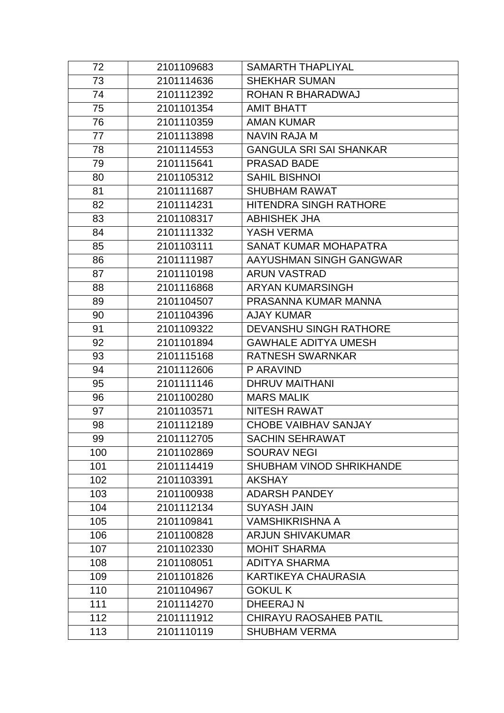| 72  | 2101109683 | <b>SAMARTH THAPLIYAL</b>       |
|-----|------------|--------------------------------|
| 73  | 2101114636 | <b>SHEKHAR SUMAN</b>           |
| 74  | 2101112392 | <b>ROHAN R BHARADWAJ</b>       |
| 75  | 2101101354 | <b>AMIT BHATT</b>              |
| 76  | 2101110359 | <b>AMAN KUMAR</b>              |
| 77  | 2101113898 | <b>NAVIN RAJA M</b>            |
| 78  | 2101114553 | <b>GANGULA SRI SAI SHANKAR</b> |
| 79  | 2101115641 | <b>PRASAD BADE</b>             |
| 80  | 2101105312 | <b>SAHIL BISHNOI</b>           |
| 81  | 2101111687 | <b>SHUBHAM RAWAT</b>           |
| 82  | 2101114231 | <b>HITENDRA SINGH RATHORE</b>  |
| 83  | 2101108317 | <b>ABHISHEK JHA</b>            |
| 84  | 2101111332 | YASH VERMA                     |
| 85  | 2101103111 | SANAT KUMAR MOHAPATRA          |
| 86  | 2101111987 | AAYUSHMAN SINGH GANGWAR        |
| 87  | 2101110198 | <b>ARUN VASTRAD</b>            |
| 88  | 2101116868 | ARYAN KUMARSINGH               |
| 89  | 2101104507 | PRASANNA KUMAR MANNA           |
| 90  | 2101104396 | <b>AJAY KUMAR</b>              |
| 91  | 2101109322 | <b>DEVANSHU SINGH RATHORE</b>  |
| 92  | 2101101894 | <b>GAWHALE ADITYA UMESH</b>    |
| 93  | 2101115168 | <b>RATNESH SWARNKAR</b>        |
| 94  | 2101112606 | P ARAVIND                      |
| 95  | 2101111146 | <b>DHRUV MAITHANI</b>          |
| 96  | 2101100280 | <b>MARS MALIK</b>              |
| 97  | 2101103571 | <b>NITESH RAWAT</b>            |
| 98  | 2101112189 | <b>CHOBE VAIBHAV SANJAY</b>    |
| 99  | 2101112705 | SACHIN SEHRAWAT                |
| 100 | 2101102869 | <b>SOURAV NEGI</b>             |
| 101 | 2101114419 | SHUBHAM VINOD SHRIKHANDE       |
| 102 | 2101103391 | <b>AKSHAY</b>                  |
| 103 | 2101100938 | <b>ADARSH PANDEY</b>           |
| 104 | 2101112134 | <b>SUYASH JAIN</b>             |
| 105 | 2101109841 | <b>VAMSHIKRISHNA A</b>         |
| 106 | 2101100828 | <b>ARJUN SHIVAKUMAR</b>        |
| 107 | 2101102330 | <b>MOHIT SHARMA</b>            |
| 108 | 2101108051 | <b>ADITYA SHARMA</b>           |
| 109 | 2101101826 | <b>KARTIKEYA CHAURASIA</b>     |
| 110 | 2101104967 | <b>GOKULK</b>                  |
| 111 | 2101114270 | DHEERAJ N                      |
| 112 | 2101111912 | <b>CHIRAYU RAOSAHEB PATIL</b>  |
| 113 | 2101110119 | <b>SHUBHAM VERMA</b>           |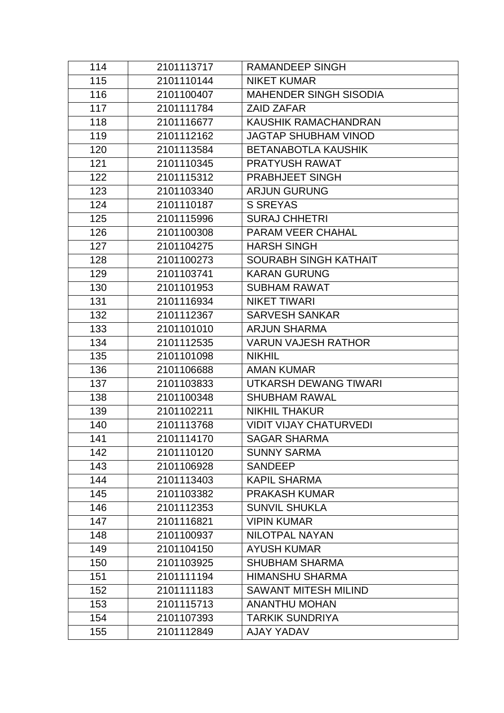| 114 | 2101113717 | <b>RAMANDEEP SINGH</b>        |
|-----|------------|-------------------------------|
| 115 | 2101110144 | <b>NIKET KUMAR</b>            |
| 116 | 2101100407 | <b>MAHENDER SINGH SISODIA</b> |
| 117 | 2101111784 | <b>ZAID ZAFAR</b>             |
| 118 | 2101116677 | <b>KAUSHIK RAMACHANDRAN</b>   |
| 119 | 2101112162 | <b>JAGTAP SHUBHAM VINOD</b>   |
| 120 | 2101113584 | <b>BETANABOTLA KAUSHIK</b>    |
| 121 | 2101110345 | <b>PRATYUSH RAWAT</b>         |
| 122 | 2101115312 | <b>PRABHJEET SINGH</b>        |
| 123 | 2101103340 | <b>ARJUN GURUNG</b>           |
| 124 | 2101110187 | <b>S SREYAS</b>               |
| 125 | 2101115996 | <b>SURAJ CHHETRI</b>          |
| 126 | 2101100308 | PARAM VEER CHAHAL             |
| 127 | 2101104275 | <b>HARSH SINGH</b>            |
| 128 | 2101100273 | <b>SOURABH SINGH KATHAIT</b>  |
| 129 | 2101103741 | <b>KARAN GURUNG</b>           |
| 130 | 2101101953 | <b>SUBHAM RAWAT</b>           |
| 131 | 2101116934 | <b>NIKET TIWARI</b>           |
| 132 | 2101112367 | <b>SARVESH SANKAR</b>         |
| 133 | 2101101010 | <b>ARJUN SHARMA</b>           |
| 134 | 2101112535 | <b>VARUN VAJESH RATHOR</b>    |
| 135 | 2101101098 | <b>NIKHIL</b>                 |
| 136 | 2101106688 | <b>AMAN KUMAR</b>             |
| 137 | 2101103833 | UTKARSH DEWANG TIWARI         |
| 138 | 2101100348 | <b>SHUBHAM RAWAL</b>          |
| 139 | 2101102211 | <b>NIKHIL THAKUR</b>          |
| 140 | 2101113768 | <b>VIDIT VIJAY CHATURVEDI</b> |
| 141 | 2101114170 | <b>SAGAR SHARMA</b>           |
| 142 | 2101110120 | <b>SUNNY SARMA</b>            |
| 143 | 2101106928 | <b>SANDEEP</b>                |
| 144 | 2101113403 | <b>KAPIL SHARMA</b>           |
| 145 | 2101103382 | <b>PRAKASH KUMAR</b>          |
| 146 | 2101112353 | <b>SUNVIL SHUKLA</b>          |
| 147 | 2101116821 | <b>VIPIN KUMAR</b>            |
| 148 | 2101100937 | <b>NILOTPAL NAYAN</b>         |
| 149 | 2101104150 | <b>AYUSH KUMAR</b>            |
| 150 | 2101103925 | <b>SHUBHAM SHARMA</b>         |
| 151 | 2101111194 | <b>HIMANSHU SHARMA</b>        |
| 152 | 2101111183 | <b>SAWANT MITESH MILIND</b>   |
| 153 | 2101115713 | <b>ANANTHU MOHAN</b>          |
| 154 | 2101107393 | <b>TARKIK SUNDRIYA</b>        |
| 155 | 2101112849 | AJAY YADAV                    |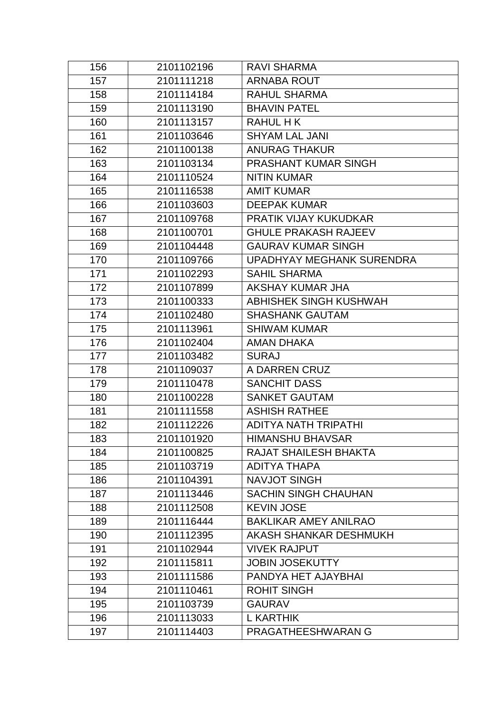| 156 | 2101102196 | <b>RAVI SHARMA</b>           |
|-----|------------|------------------------------|
| 157 | 2101111218 | <b>ARNABA ROUT</b>           |
| 158 | 2101114184 | <b>RAHUL SHARMA</b>          |
| 159 | 2101113190 | <b>BHAVIN PATEL</b>          |
| 160 | 2101113157 | <b>RAHUL HK</b>              |
| 161 | 2101103646 | <b>SHYAM LAL JANI</b>        |
| 162 | 2101100138 | <b>ANURAG THAKUR</b>         |
| 163 | 2101103134 | <b>PRASHANT KUMAR SINGH</b>  |
| 164 | 2101110524 | <b>NITIN KUMAR</b>           |
| 165 | 2101116538 | <b>AMIT KUMAR</b>            |
| 166 | 2101103603 | <b>DEEPAK KUMAR</b>          |
| 167 | 2101109768 | PRATIK VIJAY KUKUDKAR        |
| 168 | 2101100701 | <b>GHULE PRAKASH RAJEEV</b>  |
| 169 | 2101104448 | <b>GAURAV KUMAR SINGH</b>    |
| 170 | 2101109766 | UPADHYAY MEGHANK SURENDRA    |
| 171 | 2101102293 | <b>SAHIL SHARMA</b>          |
| 172 | 2101107899 | <b>AKSHAY KUMAR JHA</b>      |
| 173 | 2101100333 | ABHISHEK SINGH KUSHWAH       |
| 174 | 2101102480 | <b>SHASHANK GAUTAM</b>       |
| 175 | 2101113961 | <b>SHIWAM KUMAR</b>          |
| 176 | 2101102404 | <b>AMAN DHAKA</b>            |
| 177 | 2101103482 | <b>SURAJ</b>                 |
| 178 | 2101109037 | A DARREN CRUZ                |
| 179 | 2101110478 | <b>SANCHIT DASS</b>          |
| 180 | 2101100228 | <b>SANKET GAUTAM</b>         |
| 181 | 2101111558 | <b>ASHISH RATHEE</b>         |
| 182 | 2101112226 | <b>ADITYA NATH TRIPATHI</b>  |
| 183 | 2101101920 | <b>HIMANSHU BHAVSAR</b>      |
| 184 | 2101100825 | <b>RAJAT SHAILESH BHAKTA</b> |
| 185 | 2101103719 | ADITYA THAPA                 |
| 186 | 2101104391 | <b>NAVJOT SINGH</b>          |
| 187 | 2101113446 | <b>SACHIN SINGH CHAUHAN</b>  |
| 188 | 2101112508 | <b>KEVIN JOSE</b>            |
| 189 | 2101116444 | <b>BAKLIKAR AMEY ANILRAO</b> |
| 190 | 2101112395 | AKASH SHANKAR DESHMUKH       |
| 191 | 2101102944 | <b>VIVEK RAJPUT</b>          |
| 192 | 2101115811 | <b>JOBIN JOSEKUTTY</b>       |
| 193 | 2101111586 | PANDYA HET AJAYBHAI          |
| 194 | 2101110461 | <b>ROHIT SINGH</b>           |
| 195 | 2101103739 | <b>GAURAV</b>                |
| 196 | 2101113033 | <b>L KARTHIK</b>             |
| 197 | 2101114403 | PRAGATHEESHWARAN G           |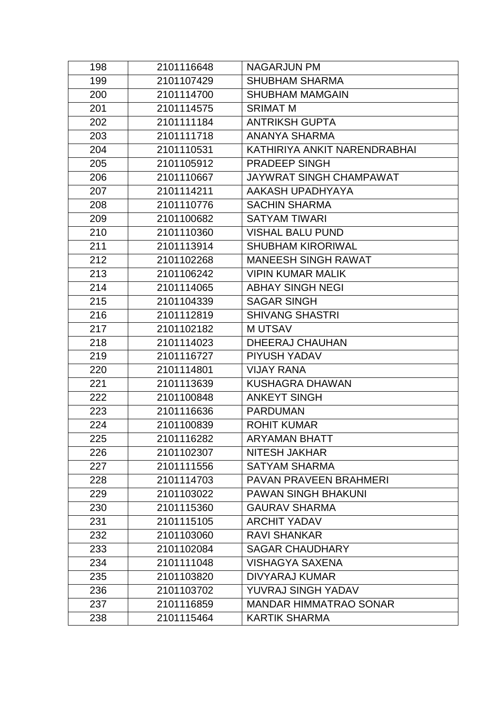| 198 | 2101116648 | <b>NAGARJUN PM</b>            |
|-----|------------|-------------------------------|
| 199 | 2101107429 | <b>SHUBHAM SHARMA</b>         |
| 200 | 2101114700 | <b>SHUBHAM MAMGAIN</b>        |
| 201 | 2101114575 | <b>SRIMAT M</b>               |
| 202 | 2101111184 | <b>ANTRIKSH GUPTA</b>         |
| 203 | 2101111718 | <b>ANANYA SHARMA</b>          |
| 204 | 2101110531 | KATHIRIYA ANKIT NARENDRABHAI  |
| 205 | 2101105912 | <b>PRADEEP SINGH</b>          |
| 206 | 2101110667 | JAYWRAT SINGH CHAMPAWAT       |
| 207 | 2101114211 | AAKASH UPADHYAYA              |
| 208 | 2101110776 | <b>SACHIN SHARMA</b>          |
| 209 | 2101100682 | <b>SATYAM TIWARI</b>          |
| 210 | 2101110360 | <b>VISHAL BALU PUND</b>       |
| 211 | 2101113914 | <b>SHUBHAM KIRORIWAL</b>      |
| 212 | 2101102268 | <b>MANEESH SINGH RAWAT</b>    |
| 213 | 2101106242 | <b>VIPIN KUMAR MALIK</b>      |
| 214 | 2101114065 | <b>ABHAY SINGH NEGI</b>       |
| 215 | 2101104339 | <b>SAGAR SINGH</b>            |
| 216 | 2101112819 | <b>SHIVANG SHASTRI</b>        |
| 217 | 2101102182 | <b>MUTSAV</b>                 |
| 218 | 2101114023 | <b>DHEERAJ CHAUHAN</b>        |
| 219 | 2101116727 | PIYUSH YADAV                  |
| 220 | 2101114801 | <b>VIJAY RANA</b>             |
| 221 | 2101113639 | <b>KUSHAGRA DHAWAN</b>        |
| 222 | 2101100848 | <b>ANKEYT SINGH</b>           |
| 223 | 2101116636 | <b>PARDUMAN</b>               |
| 224 | 2101100839 | <b>ROHIT KUMAR</b>            |
| 225 | 2101116282 | <b>ARYAMAN BHATT</b>          |
| 226 | 2101102307 | <b>NITESH JAKHAR</b>          |
| 227 | 2101111556 | <b>SATYAM SHARMA</b>          |
| 228 | 2101114703 | PAVAN PRAVEEN BRAHMERI        |
| 229 | 2101103022 | <b>PAWAN SINGH BHAKUNI</b>    |
| 230 | 2101115360 | <b>GAURAV SHARMA</b>          |
| 231 | 2101115105 | <b>ARCHIT YADAV</b>           |
| 232 | 2101103060 | <b>RAVI SHANKAR</b>           |
| 233 | 2101102084 | <b>SAGAR CHAUDHARY</b>        |
| 234 | 2101111048 | <b>VISHAGYA SAXENA</b>        |
| 235 | 2101103820 | <b>DIVYARAJ KUMAR</b>         |
| 236 | 2101103702 | YUVRAJ SINGH YADAV            |
| 237 | 2101116859 | <b>MANDAR HIMMATRAO SONAR</b> |
| 238 | 2101115464 | <b>KARTIK SHARMA</b>          |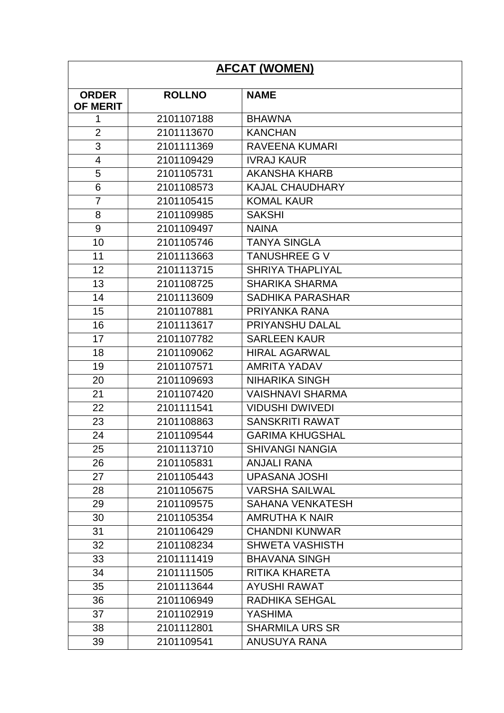| <b>AFCAT (WOMEN)</b> |               |                         |
|----------------------|---------------|-------------------------|
| <b>ORDER</b>         | <b>ROLLNO</b> | <b>NAME</b>             |
| <b>OF MERIT</b>      |               |                         |
| 1                    | 2101107188    | <b>BHAWNA</b>           |
| $\overline{2}$       | 2101113670    | <b>KANCHAN</b>          |
| 3                    | 2101111369    | <b>RAVEENA KUMARI</b>   |
| 4                    | 2101109429    | <b>IVRAJ KAUR</b>       |
| 5                    | 2101105731    | <b>AKANSHA KHARB</b>    |
| 6                    | 2101108573    | <b>KAJAL CHAUDHARY</b>  |
| $\overline{7}$       | 2101105415    | <b>KOMAL KAUR</b>       |
| 8                    | 2101109985    | <b>SAKSHI</b>           |
| 9                    | 2101109497    | <b>NAINA</b>            |
| 10                   | 2101105746    | <b>TANYA SINGLA</b>     |
| 11                   | 2101113663    | <b>TANUSHREE G V</b>    |
| 12                   | 2101113715    | <b>SHRIYA THAPLIYAL</b> |
| 13                   | 2101108725    | <b>SHARIKA SHARMA</b>   |
| 14                   | 2101113609    | <b>SADHIKA PARASHAR</b> |
| 15                   | 2101107881    | PRIYANKA RANA           |
| 16                   | 2101113617    | PRIYANSHU DALAL         |
| 17                   | 2101107782    | <b>SARLEEN KAUR</b>     |
| 18                   | 2101109062    | <b>HIRAL AGARWAL</b>    |
| 19                   | 2101107571    | <b>AMRITA YADAV</b>     |
| 20                   | 2101109693    | <b>NIHARIKA SINGH</b>   |
| 21                   | 2101107420    | <b>VAISHNAVI SHARMA</b> |
| 22                   | 2101111541    | <b>VIDUSHI DWIVEDI</b>  |
| 23                   | 2101108863    | <b>SANSKRITI RAWAT</b>  |
| 24                   | 2101109544    | <b>GARIMA KHUGSHAL</b>  |
| 25                   | 2101113710    | <b>SHIVANGI NANGIA</b>  |
| 26                   | 2101105831    | <b>ANJALI RANA</b>      |
| 27                   | 2101105443    | <b>UPASANA JOSHI</b>    |
| 28                   | 2101105675    | <b>VARSHA SAILWAL</b>   |
| 29                   | 2101109575    | <b>SAHANA VENKATESH</b> |
| 30                   | 2101105354    | <b>AMRUTHA K NAIR</b>   |
| 31                   | 2101106429    | <b>CHANDNI KUNWAR</b>   |
| 32                   | 2101108234    | <b>SHWETA VASHISTH</b>  |
| 33                   | 2101111419    | <b>BHAVANA SINGH</b>    |
| 34                   | 2101111505    | RITIKA KHARETA          |
| 35                   | 2101113644    | <b>AYUSHI RAWAT</b>     |
| 36                   | 2101106949    | <b>RADHIKA SEHGAL</b>   |
| 37                   | 2101102919    | <b>YASHIMA</b>          |
| 38                   | 2101112801    | <b>SHARMILA URS SR</b>  |
| 39                   | 2101109541    | <b>ANUSUYA RANA</b>     |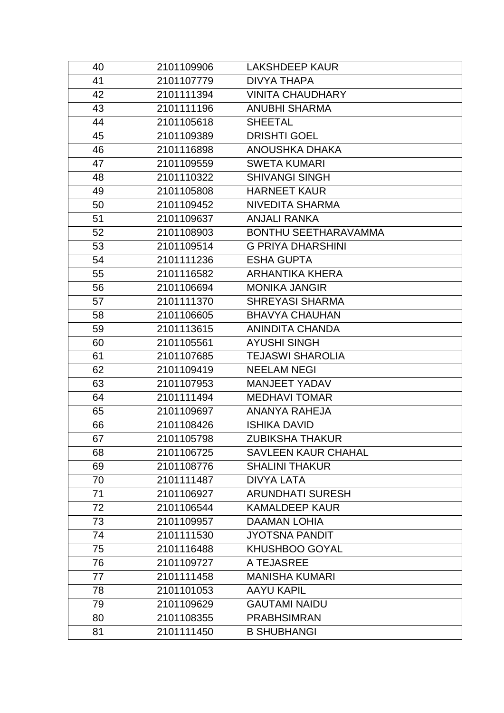| 40 | 2101109906 | <b>LAKSHDEEP KAUR</b>       |
|----|------------|-----------------------------|
| 41 | 2101107779 | <b>DIVYA THAPA</b>          |
| 42 | 2101111394 | <b>VINITA CHAUDHARY</b>     |
| 43 | 2101111196 | <b>ANUBHI SHARMA</b>        |
| 44 | 2101105618 | <b>SHEETAL</b>              |
| 45 | 2101109389 | <b>DRISHTI GOEL</b>         |
| 46 | 2101116898 | ANOUSHKA DHAKA              |
| 47 | 2101109559 | <b>SWETA KUMARI</b>         |
| 48 | 2101110322 | <b>SHIVANGI SINGH</b>       |
| 49 | 2101105808 | <b>HARNEET KAUR</b>         |
| 50 | 2101109452 | <b>NIVEDITA SHARMA</b>      |
| 51 | 2101109637 | <b>ANJALI RANKA</b>         |
| 52 | 2101108903 | <b>BONTHU SEETHARAVAMMA</b> |
| 53 | 2101109514 | <b>G PRIYA DHARSHINI</b>    |
| 54 | 2101111236 | <b>ESHA GUPTA</b>           |
| 55 | 2101116582 | <b>ARHANTIKA KHERA</b>      |
| 56 | 2101106694 | <b>MONIKA JANGIR</b>        |
| 57 | 2101111370 | <b>SHREYASI SHARMA</b>      |
| 58 | 2101106605 | <b>BHAVYA CHAUHAN</b>       |
| 59 | 2101113615 | <b>ANINDITA CHANDA</b>      |
| 60 | 2101105561 | <b>AYUSHI SINGH</b>         |
| 61 | 2101107685 | <b>TEJASWI SHAROLIA</b>     |
| 62 | 2101109419 | <b>NEELAM NEGI</b>          |
| 63 | 2101107953 | <b>MANJEET YADAV</b>        |
| 64 | 2101111494 | <b>MEDHAVI TOMAR</b>        |
| 65 | 2101109697 | <b>ANANYA RAHEJA</b>        |
| 66 | 2101108426 | <b>ISHIKA DAVID</b>         |
| 67 | 2101105798 | <b>ZUBIKSHA THAKUR</b>      |
| 68 | 2101106725 | <b>SAVLEEN KAUR CHAHAL</b>  |
| 69 | 2101108776 | <b>SHALINI THAKUR</b>       |
| 70 | 2101111487 | <b>DIVYA LATA</b>           |
| 71 | 2101106927 | <b>ARUNDHATI SURESH</b>     |
| 72 | 2101106544 | <b>KAMALDEEP KAUR</b>       |
| 73 | 2101109957 | <b>DAAMAN LOHIA</b>         |
| 74 | 2101111530 | <b>JYOTSNA PANDIT</b>       |
| 75 | 2101116488 | <b>KHUSHBOO GOYAL</b>       |
| 76 | 2101109727 | A TEJASREE                  |
| 77 | 2101111458 | <b>MANISHA KUMARI</b>       |
| 78 | 2101101053 | <b>AAYU KAPIL</b>           |
| 79 | 2101109629 | <b>GAUTAMI NAIDU</b>        |
| 80 | 2101108355 | <b>PRABHSIMRAN</b>          |
| 81 | 2101111450 | <b>B SHUBHANGI</b>          |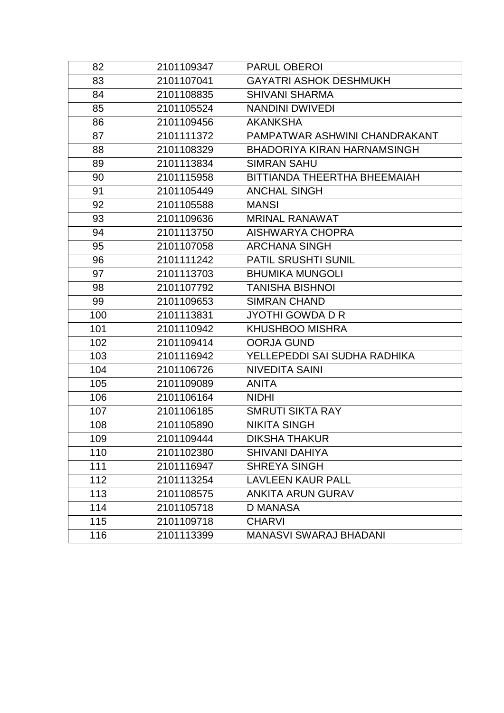| 82  | 2101109347 | <b>PARUL OBEROI</b>                |
|-----|------------|------------------------------------|
| 83  | 2101107041 | <b>GAYATRI ASHOK DESHMUKH</b>      |
| 84  | 2101108835 | <b>SHIVANI SHARMA</b>              |
| 85  | 2101105524 | <b>NANDINI DWIVEDI</b>             |
| 86  | 2101109456 | <b>AKANKSHA</b>                    |
| 87  | 2101111372 | PAMPATWAR ASHWINI CHANDRAKANT      |
| 88  | 2101108329 | <b>BHADORIYA KIRAN HARNAMSINGH</b> |
| 89  | 2101113834 | <b>SIMRAN SAHU</b>                 |
| 90  | 2101115958 | BITTIANDA THEERTHA BHEEMAIAH       |
| 91  | 2101105449 | <b>ANCHAL SINGH</b>                |
| 92  | 2101105588 | <b>MANSI</b>                       |
| 93  | 2101109636 | <b>MRINAL RANAWAT</b>              |
| 94  | 2101113750 | <b>AISHWARYA CHOPRA</b>            |
| 95  | 2101107058 | <b>ARCHANA SINGH</b>               |
| 96  | 2101111242 | PATIL SRUSHTI SUNIL                |
| 97  | 2101113703 | <b>BHUMIKA MUNGOLI</b>             |
| 98  | 2101107792 | <b>TANISHA BISHNOI</b>             |
| 99  | 2101109653 | <b>SIMRAN CHAND</b>                |
| 100 | 2101113831 | <b>JYOTHI GOWDA D R</b>            |
| 101 | 2101110942 | <b>KHUSHBOO MISHRA</b>             |
| 102 | 2101109414 | <b>OORJA GUND</b>                  |
| 103 | 2101116942 | YELLEPEDDI SAI SUDHA RADHIKA       |
| 104 | 2101106726 | <b>NIVEDITA SAINI</b>              |
| 105 | 2101109089 | <b>ANITA</b>                       |
| 106 | 2101106164 | <b>NIDHI</b>                       |
| 107 | 2101106185 | <b>SMRUTI SIKTA RAY</b>            |
| 108 | 2101105890 | <b>NIKITA SINGH</b>                |
| 109 | 2101109444 | <b>DIKSHA THAKUR</b>               |
| 110 | 2101102380 | <b>SHIVANI DAHIYA</b>              |
| 111 | 2101116947 | <b>SHREYA SINGH</b>                |
| 112 | 2101113254 | <b>LAVLEEN KAUR PALL</b>           |
| 113 | 2101108575 | <b>ANKITA ARUN GURAV</b>           |
| 114 | 2101105718 | <b>D MANASA</b>                    |
| 115 | 2101109718 | <b>CHARVI</b>                      |
| 116 | 2101113399 | <b>MANASVI SWARAJ BHADANI</b>      |